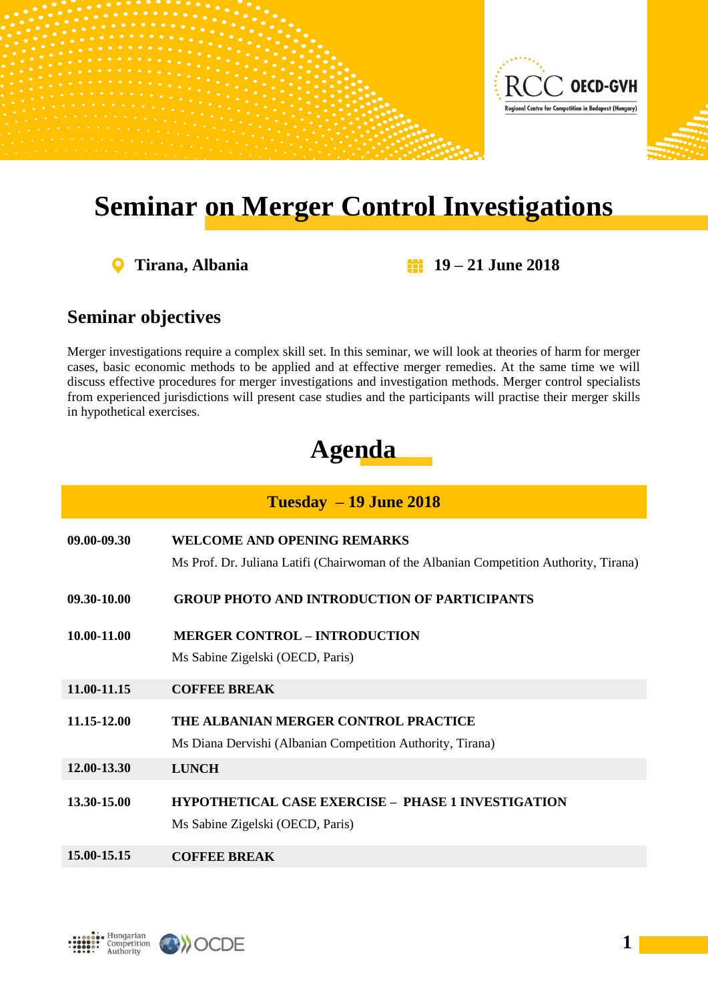

## **Seminar on Merger Control Investigations**

 $\mathbf Q$ 

**Tirana, Albania 19 – 21 June 2018**

## **Seminar objectives**

Merger investigations require a complex skill set. In this seminar, we will look at theories of harm for merger cases, basic economic methods to be applied and at effective merger remedies. At the same time we will discuss effective procedures for merger investigations and investigation methods. Merger control specialists from experienced jurisdictions will present case studies and the participants will practise their merger skills in hypothetical exercises.

## **Agenda**

| $Tuesday - 19$ June 2018 |                                                                                                                              |  |
|--------------------------|------------------------------------------------------------------------------------------------------------------------------|--|
| 09.00-09.30              | <b>WELCOME AND OPENING REMARKS</b><br>Ms Prof. Dr. Juliana Latifi (Chairwoman of the Albanian Competition Authority, Tirana) |  |
| 09.30-10.00              | <b>GROUP PHOTO AND INTRODUCTION OF PARTICIPANTS</b>                                                                          |  |
| 10.00-11.00              | <b>MERGER CONTROL – INTRODUCTION</b><br>Ms Sabine Zigelski (OECD, Paris)                                                     |  |
| 11.00-11.15              | <b>COFFEE BREAK</b>                                                                                                          |  |
| 11.15-12.00              | THE ALBANIAN MERGER CONTROL PRACTICE<br>Ms Diana Dervishi (Albanian Competition Authority, Tirana)                           |  |
| 12.00-13.30              | <b>LUNCH</b>                                                                                                                 |  |
| 13.30-15.00              | <b>HYPOTHETICAL CASE EXERCISE - PHASE 1 INVESTIGATION</b><br>Ms Sabine Zigelski (OECD, Paris)                                |  |
| 15.00-15.15              | <b>COFFEE BREAK</b>                                                                                                          |  |



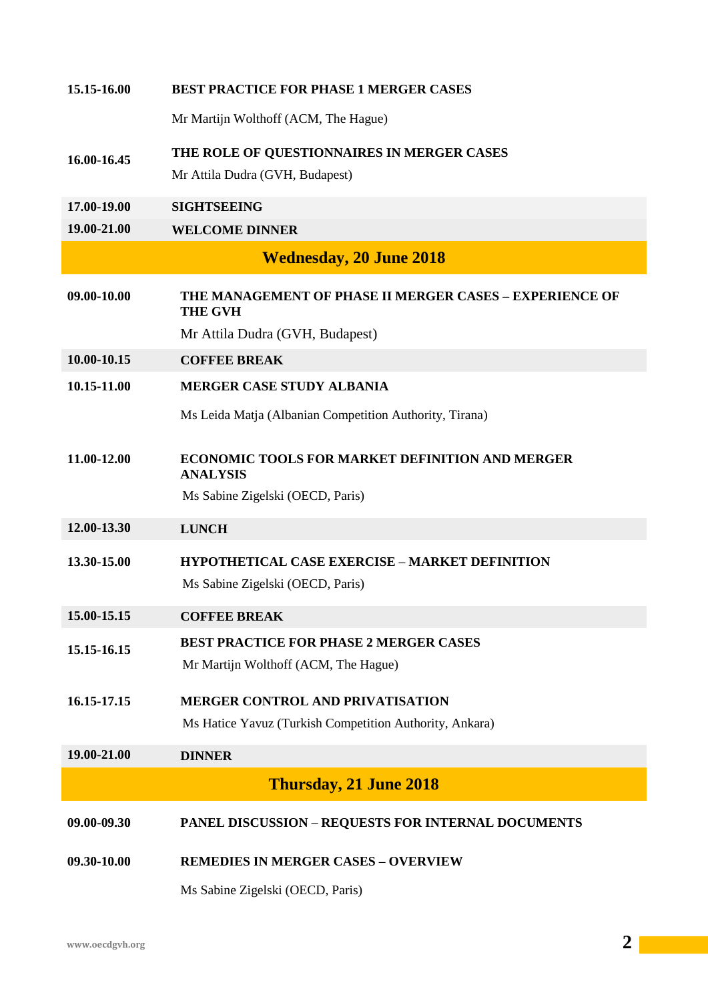| 15.15-16.00                    | <b>BEST PRACTICE FOR PHASE 1 MERGER CASES</b>                             |  |
|--------------------------------|---------------------------------------------------------------------------|--|
|                                | Mr Martijn Wolthoff (ACM, The Hague)                                      |  |
| 16.00-16.45                    | THE ROLE OF QUESTIONNAIRES IN MERGER CASES                                |  |
|                                | Mr Attila Dudra (GVH, Budapest)                                           |  |
| 17.00-19.00                    | <b>SIGHTSEEING</b>                                                        |  |
| 19.00-21.00                    | <b>WELCOME DINNER</b>                                                     |  |
| <b>Wednesday, 20 June 2018</b> |                                                                           |  |
| 09.00-10.00                    | THE MANAGEMENT OF PHASE II MERGER CASES - EXPERIENCE OF<br><b>THE GVH</b> |  |
|                                | Mr Attila Dudra (GVH, Budapest)                                           |  |
| 10.00-10.15                    | <b>COFFEE BREAK</b>                                                       |  |
| 10.15-11.00                    | <b>MERGER CASE STUDY ALBANIA</b>                                          |  |
|                                | Ms Leida Matja (Albanian Competition Authority, Tirana)                   |  |
| 11.00-12.00                    | <b>ECONOMIC TOOLS FOR MARKET DEFINITION AND MERGER</b><br><b>ANALYSIS</b> |  |
|                                | Ms Sabine Zigelski (OECD, Paris)                                          |  |
| 12.00-13.30                    | <b>LUNCH</b>                                                              |  |
| 13.30-15.00                    | <b>HYPOTHETICAL CASE EXERCISE - MARKET DEFINITION</b>                     |  |
|                                | Ms Sabine Zigelski (OECD, Paris)                                          |  |
| 15.00-15.15                    | <b>COFFEE BREAK</b>                                                       |  |
| 15.15-16.15                    | <b>BEST PRACTICE FOR PHASE 2 MERGER CASES</b>                             |  |
|                                | Mr Martijn Wolthoff (ACM, The Hague)                                      |  |
| 16.15-17.15                    | <b>MERGER CONTROL AND PRIVATISATION</b>                                   |  |
|                                | Ms Hatice Yavuz (Turkish Competition Authority, Ankara)                   |  |
| 19.00-21.00                    | <b>DINNER</b>                                                             |  |
|                                | <b>Thursday, 21 June 2018</b>                                             |  |
|                                |                                                                           |  |
| 09.00-09.30                    | <b>PANEL DISCUSSION - REQUESTS FOR INTERNAL DOCUMENTS</b>                 |  |
| 09.30-10.00                    | <b>REMEDIES IN MERGER CASES - OVERVIEW</b>                                |  |
|                                | Ms Sabine Zigelski (OECD, Paris)                                          |  |